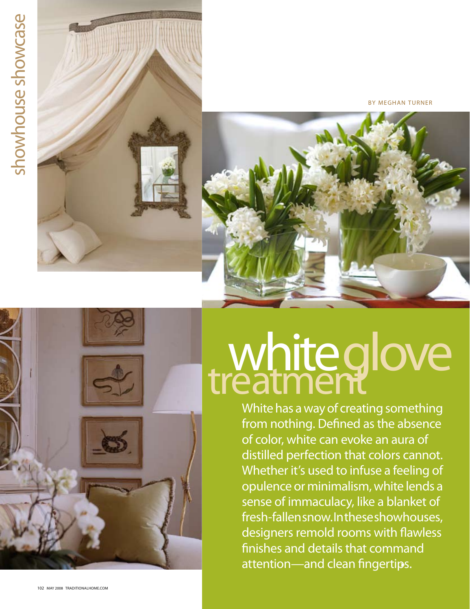## showhouse showcase showhouse showcase





By meghan turner

## whiteglove

White has a way of creating something from nothing. Defined as the absence of color, white can evoke an aura of distilled perfection that colors cannot. Whether it's used to infuse a feeling of opulence or minimalism, white lends a sense of immaculacy, like a blanket of fresh-fallen snow. In these showhouses, designers remold rooms with flawless finishes and details that command attention—and clean fingertips. ➤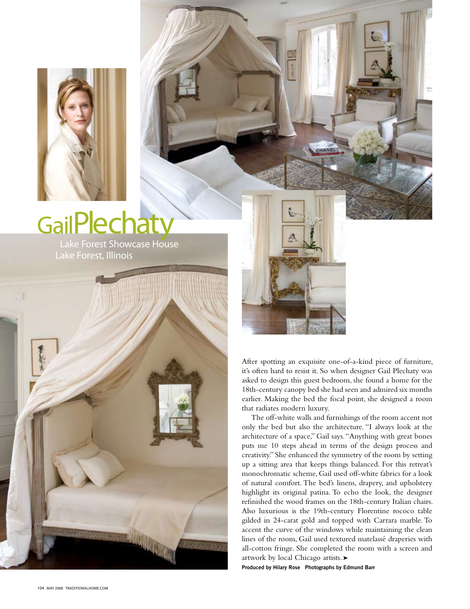

## GailPlechaty

 Lake Forest Showcase House Lake Forest, Illinois





After spotting an exquisite one-of-a-kind piece of furniture, it's often hard to resist it. So when designer Gail Plechaty was asked to design this guest bedroom, she found a home for the 18th-century canopy bed she had seen and admired six months earlier. Making the bed the focal point, she designed a room that radiates modern luxury.

The off-white walls and furnishings of the room accent not only the bed but also the architecture. "I always look at the architecture of a space," Gail says. "Anything with great bones puts me 10 steps ahead in terms of the design process and creativity." She enhanced the symmetry of the room by setting up a sitting area that keeps things balanced. For this retreat's monochromatic scheme, Gail used off-white fabrics for a look of natural comfort. The bed's linens, drapery, and upholstery highlight its original patina. To echo the look, the designer refinished the wood frames on the 18th-century Italian chairs. Also luxurious is the 19th-century Florentine rococo table gilded in 24-carat gold and topped with Carrara marble. To accent the curve of the windows while maintaining the clean lines of the room, Gail used textured matelassé draperies with all-cotton fringe. She completed the room with a screen and artwork by local Chicago artists. ➤

**Produced by Hilary Rose Photographs by Edmund Barr**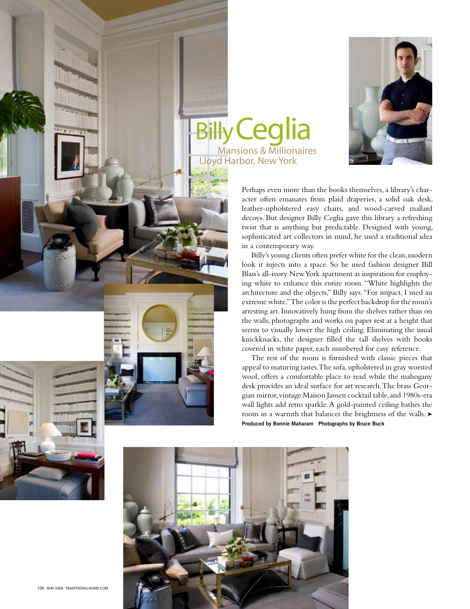

Perhaps even more than the books themselves, a library's character often emanates from plaid draperies, a solid oak desk, leather-upholstered easy chairs, and wood-carved mallard decoys. But designer Billy Ceglia gave this library a refreshing twist that is anything but predictable. Designed with young, sophisticated art collectors in mind, he used a traditional idea in a contemporary way.

**Billy Ceglia** 

Lloyd Harbor, New York

Billy's young clients often prefer white for the clean, modern look it injects into a space. So he used fashion designer Bill Blass's all-ivory New York apartment as inspiration for employing white to enhance this entire room. "White highlights the architecture and the objects," Billy says. "For impact, I used an extreme white." The color is the perfect backdrop for the room's arresting art. Innovatively hung from the shelves rather than on the walls, photographs and works on paper rest at a height that seems to visually lower the high ceiling. Eliminating the usual knickknacks, the designer filled the tall shelves with books covered in white paper, each numbered for easy reference.

The rest of the room is furnished with classic pieces that appeal to maturing tastes. The sofa, upholstered in gray worsted wool, offers a comfortable place to read while the mahogany desk provides an ideal surface for art research. The brass Georgian mirror, vintage Maison Jansen cocktail table, and 1980s-era wall lights add retro sparkle. A gold-painted ceiling bathes the room in a warmth that balances the brightness of the walls. ► **Produced by Bonnie Maharam Photographs by Bruce Buck**